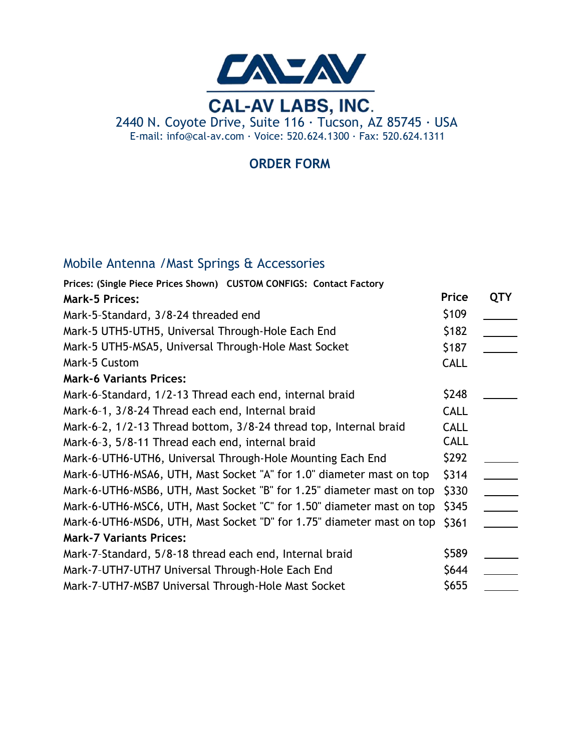

## **ORDER FORM**

# Mobile Antenna /Mast Springs & Accessories

| Prices: (Single Piece Prices Shown)  CUSTOM CONFIGS: Contact Factory  |             |            |
|-----------------------------------------------------------------------|-------------|------------|
| <b>Mark-5 Prices:</b>                                                 | Price       | <b>QTY</b> |
| Mark-5-Standard, 3/8-24 threaded end                                  | \$109       |            |
| Mark-5 UTH5-UTH5, Universal Through-Hole Each End                     | \$182       |            |
| Mark-5 UTH5-MSA5, Universal Through-Hole Mast Socket                  | \$187       |            |
| Mark-5 Custom                                                         | <b>CALL</b> |            |
| <b>Mark-6 Variants Prices:</b>                                        |             |            |
| Mark-6-Standard, 1/2-13 Thread each end, internal braid               | \$248       |            |
| Mark-6-1, 3/8-24 Thread each end, Internal braid                      | <b>CALL</b> |            |
| Mark-6-2, 1/2-13 Thread bottom, 3/8-24 thread top, Internal braid     | <b>CALL</b> |            |
| Mark-6-3, 5/8-11 Thread each end, internal braid                      | <b>CALL</b> |            |
| Mark-6-UTH6-UTH6, Universal Through-Hole Mounting Each End            | \$292       |            |
| Mark-6-UTH6-MSA6, UTH, Mast Socket "A" for 1.0" diameter mast on top  | \$314       |            |
| Mark-6-UTH6-MSB6, UTH, Mast Socket "B" for 1.25" diameter mast on top | \$330       |            |
| Mark-6-UTH6-MSC6, UTH, Mast Socket "C" for 1.50" diameter mast on top | \$345       |            |
| Mark-6-UTH6-MSD6, UTH, Mast Socket "D" for 1.75" diameter mast on top | \$361       |            |
| <b>Mark-7 Variants Prices:</b>                                        |             |            |
| Mark-7-Standard, 5/8-18 thread each end, Internal braid               | \$589       |            |
| Mark-7-UTH7-UTH7 Universal Through-Hole Each End                      | \$644       |            |
| Mark-7-UTH7-MSB7 Universal Through-Hole Mast Socket                   | \$655       |            |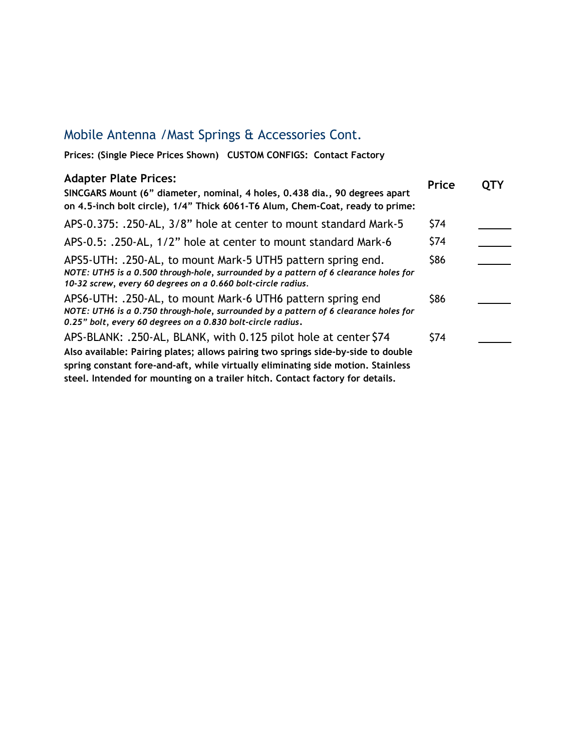### Mobile Antenna /Mast Springs & Accessories Cont.

**Prices: (Single Piece Prices Shown) CUSTOM CONFIGS: Contact Factory**

#### **Adapter Plate Prices: SINCGARS Mount (6" diameter, nominal, 4 holes, 0.438 dia., 90 degrees apart on 4.5-inch bolt circle), 1/4" Thick 6061-T6 Alum, Chem-Coat, ready to prime:** APS-0.375: .250-AL, 3/8" hole at center to mount standard Mark-5 APS-0.5: .250-AL, 1/2" hole at center to mount standard Mark-6 APS5-UTH: .250-AL, to mount Mark-5 UTH5 pattern spring end. *NOTE: UTH5 is a 0.500 through-hole, surrounded by a pattern of 6 clearance holes for 10-32 screw, every 60 degrees on a 0.660 bolt-circle radius.* APS6-UTH: .250-AL, to mount Mark-6 UTH6 pattern spring end *NOTE: UTH6 is a 0.750 through-hole, surrounded by a pattern of 6 clearance holes for 0.25" bolt, every 60 degrees on a 0.830 bolt-circle radius*. APS-BLANK: .250-AL, BLANK, with 0.125 pilot hole at center \$74 **Also available: Pairing plates; allows pairing two springs side-by-side to double spring constant fore-and-aft, while virtually eliminating side motion. Stainless steel. Intended for mounting on a trailer hitch. Contact factory for details. Price QTY** \$74 \$86 \$74 \$86 \$74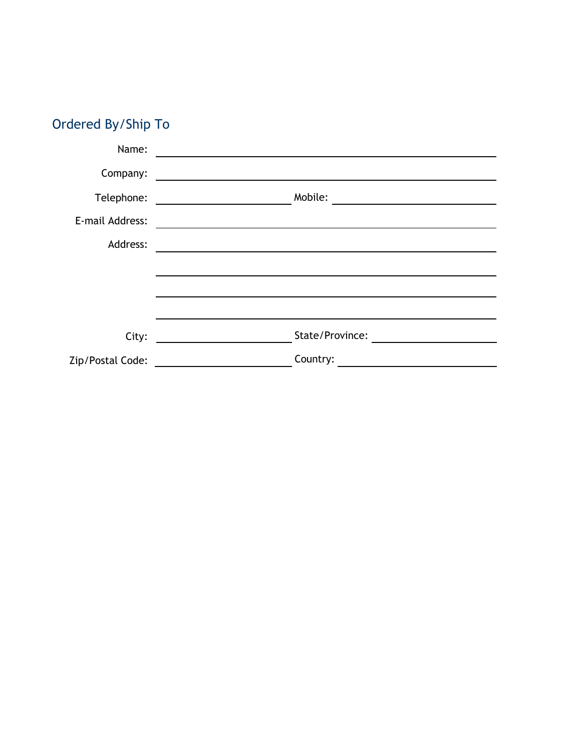| Ordered By/Ship To |  |
|--------------------|--|
|                    |  |

| Name:            |                                                               |
|------------------|---------------------------------------------------------------|
| Company:         | <u> 1989 - Johann Stein, mars an deutscher Stein († 1989)</u> |
| Telephone:       | Mobile:                                                       |
| E-mail Address:  |                                                               |
| Address:         |                                                               |
|                  |                                                               |
|                  |                                                               |
|                  |                                                               |
| City:            | State/Province:                                               |
| Zip/Postal Code: | Country:                                                      |